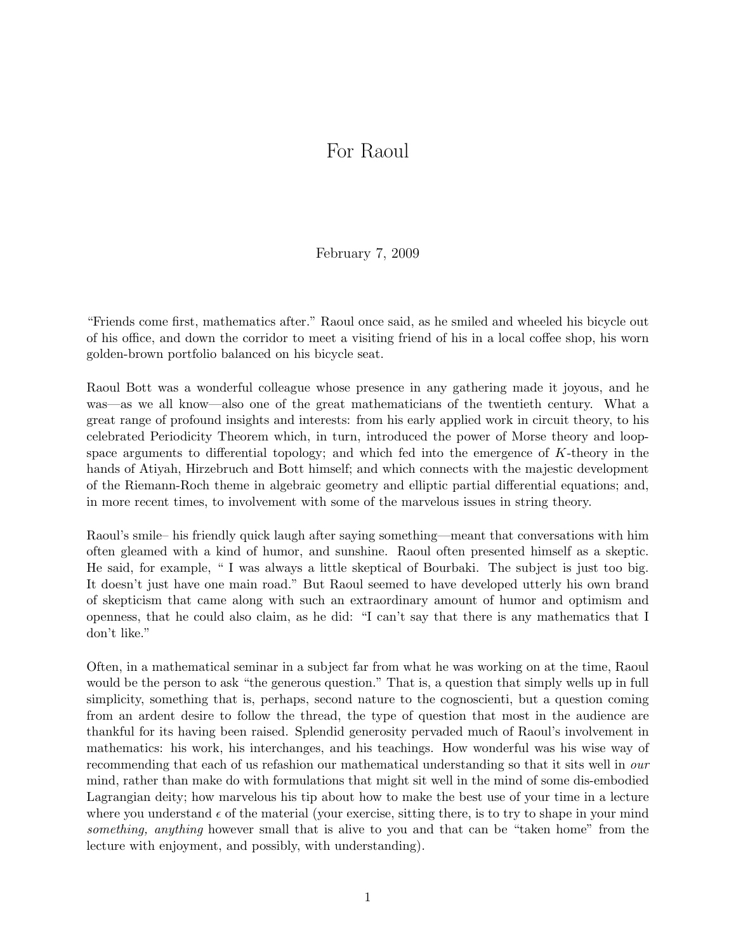## For Raoul

February 7, 2009

"Friends come first, mathematics after." Raoul once said, as he smiled and wheeled his bicycle out of his office, and down the corridor to meet a visiting friend of his in a local coffee shop, his worn golden-brown portfolio balanced on his bicycle seat.

Raoul Bott was a wonderful colleague whose presence in any gathering made it joyous, and he was—as we all know—also one of the great mathematicians of the twentieth century. What a great range of profound insights and interests: from his early applied work in circuit theory, to his celebrated Periodicity Theorem which, in turn, introduced the power of Morse theory and loopspace arguments to differential topology; and which fed into the emergence of K-theory in the hands of Atiyah, Hirzebruch and Bott himself; and which connects with the majestic development of the Riemann-Roch theme in algebraic geometry and elliptic partial differential equations; and, in more recent times, to involvement with some of the marvelous issues in string theory.

Raoul's smile– his friendly quick laugh after saying something—meant that conversations with him often gleamed with a kind of humor, and sunshine. Raoul often presented himself as a skeptic. He said, for example, " I was always a little skeptical of Bourbaki. The subject is just too big. It doesn't just have one main road." But Raoul seemed to have developed utterly his own brand of skepticism that came along with such an extraordinary amount of humor and optimism and openness, that he could also claim, as he did: "I can't say that there is any mathematics that I don't like."

Often, in a mathematical seminar in a subject far from what he was working on at the time, Raoul would be the person to ask "the generous question." That is, a question that simply wells up in full simplicity, something that is, perhaps, second nature to the cognoscienti, but a question coming from an ardent desire to follow the thread, the type of question that most in the audience are thankful for its having been raised. Splendid generosity pervaded much of Raoul's involvement in mathematics: his work, his interchanges, and his teachings. How wonderful was his wise way of recommending that each of us refashion our mathematical understanding so that it sits well in our mind, rather than make do with formulations that might sit well in the mind of some dis-embodied Lagrangian deity; how marvelous his tip about how to make the best use of your time in a lecture where you understand  $\epsilon$  of the material (your exercise, sitting there, is to try to shape in your mind something, anything however small that is alive to you and that can be "taken home" from the lecture with enjoyment, and possibly, with understanding).